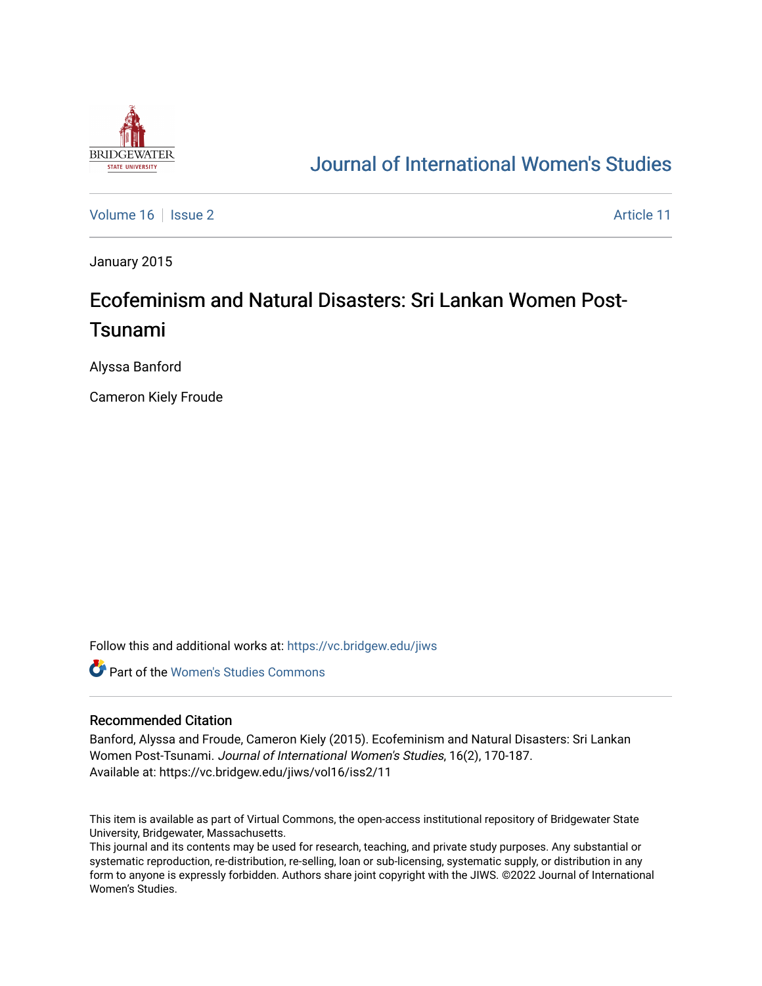

## [Journal of International Women's Studies](https://vc.bridgew.edu/jiws)

[Volume 16](https://vc.bridgew.edu/jiws/vol16) September 2 Article 11

January 2015

# Ecofeminism and Natural Disasters: Sri Lankan Women Post-Tsunami

Alyssa Banford

Cameron Kiely Froude

Follow this and additional works at: [https://vc.bridgew.edu/jiws](https://vc.bridgew.edu/jiws?utm_source=vc.bridgew.edu%2Fjiws%2Fvol16%2Fiss2%2F11&utm_medium=PDF&utm_campaign=PDFCoverPages)

**C** Part of the Women's Studies Commons

#### Recommended Citation

Banford, Alyssa and Froude, Cameron Kiely (2015). Ecofeminism and Natural Disasters: Sri Lankan Women Post-Tsunami. Journal of International Women's Studies, 16(2), 170-187. Available at: https://vc.bridgew.edu/jiws/vol16/iss2/11

This item is available as part of Virtual Commons, the open-access institutional repository of Bridgewater State University, Bridgewater, Massachusetts.

This journal and its contents may be used for research, teaching, and private study purposes. Any substantial or systematic reproduction, re-distribution, re-selling, loan or sub-licensing, systematic supply, or distribution in any form to anyone is expressly forbidden. Authors share joint copyright with the JIWS. ©2022 Journal of International Women's Studies.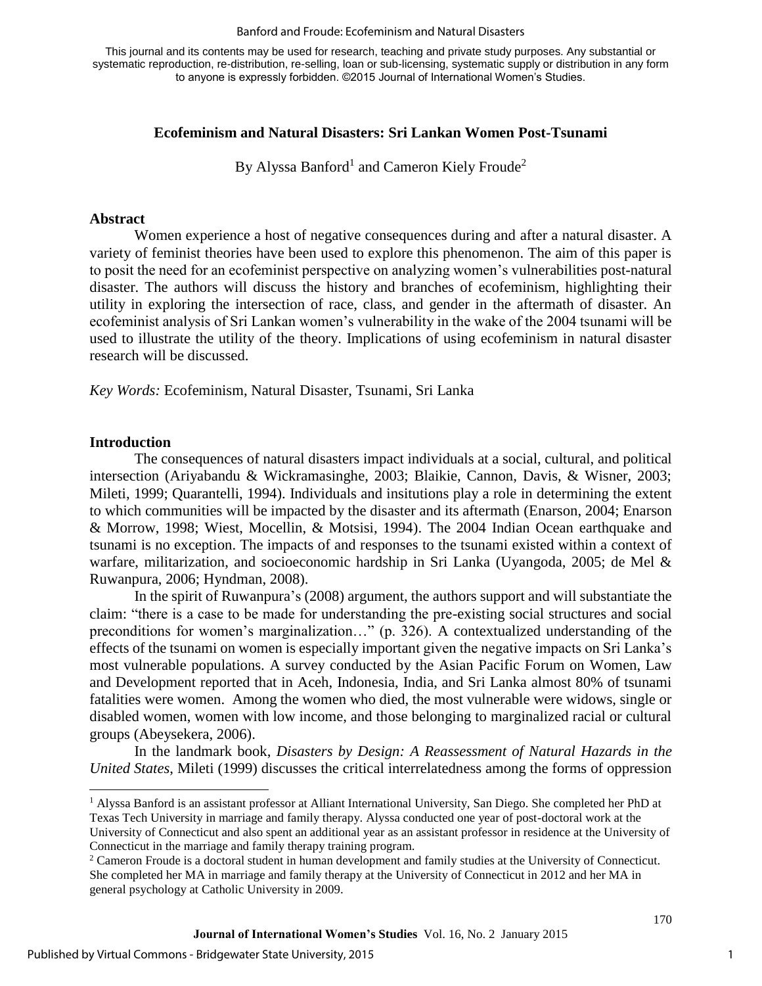#### Banford and Froude: Ecofeminism and Natural Disasters

This journal and its contents may be used for research, teaching and private study purposes. Any substantial or systematic reproduction, re-distribution, re-selling, loan or sub-licensing, systematic supply or distribution in any form to anyone is expressly forbidden. ©2015 Journal of International Women's Studies.

#### **Ecofeminism and Natural Disasters: Sri Lankan Women Post-Tsunami**

By Alyssa Banford<sup>1</sup> and Cameron Kiely Froude<sup>2</sup>

#### **Abstract**

Women experience a host of negative consequences during and after a natural disaster. A variety of feminist theories have been used to explore this phenomenon. The aim of this paper is to posit the need for an ecofeminist perspective on analyzing women's vulnerabilities post-natural disaster. The authors will discuss the history and branches of ecofeminism, highlighting their utility in exploring the intersection of race, class, and gender in the aftermath of disaster. An ecofeminist analysis of Sri Lankan women's vulnerability in the wake of the 2004 tsunami will be used to illustrate the utility of the theory. Implications of using ecofeminism in natural disaster research will be discussed.

*Key Words:* Ecofeminism, Natural Disaster, Tsunami, Sri Lanka

#### **Introduction**

 $\overline{a}$ 

The consequences of natural disasters impact individuals at a social, cultural, and political intersection (Ariyabandu & Wickramasinghe, 2003; Blaikie, Cannon, Davis, & Wisner, 2003; Mileti, 1999; Quarantelli, 1994). Individuals and insitutions play a role in determining the extent to which communities will be impacted by the disaster and its aftermath (Enarson, 2004; Enarson & Morrow, 1998; Wiest, Mocellin, & Motsisi, 1994). The 2004 Indian Ocean earthquake and tsunami is no exception. The impacts of and responses to the tsunami existed within a context of warfare, militarization, and socioeconomic hardship in Sri Lanka (Uyangoda, 2005; de Mel & Ruwanpura, 2006; Hyndman, 2008).

In the spirit of Ruwanpura's (2008) argument, the authors support and will substantiate the claim: "there is a case to be made for understanding the pre-existing social structures and social preconditions for women's marginalization…" (p. 326). A contextualized understanding of the effects of the tsunami on women is especially important given the negative impacts on Sri Lanka's most vulnerable populations. A survey conducted by the Asian Pacific Forum on Women, Law and Development reported that in Aceh, Indonesia, India, and Sri Lanka almost 80% of tsunami fatalities were women. Among the women who died, the most vulnerable were widows, single or disabled women, women with low income, and those belonging to marginalized racial or cultural groups (Abeysekera, 2006).

In the landmark book, *Disasters by Design: A Reassessment of Natural Hazards in the United States*, Mileti (1999) discusses the critical interrelatedness among the forms of oppression

<sup>&</sup>lt;sup>1</sup> Alyssa Banford is an assistant professor at Alliant International University, San Diego. She completed her PhD at Texas Tech University in marriage and family therapy. Alyssa conducted one year of post-doctoral work at the University of Connecticut and also spent an additional year as an assistant professor in residence at the University of Connecticut in the marriage and family therapy training program.

<sup>&</sup>lt;sup>2</sup> Cameron Froude is a doctoral student in human development and family studies at the University of Connecticut. She completed her MA in marriage and family therapy at the University of Connecticut in 2012 and her MA in general psychology at Catholic University in 2009.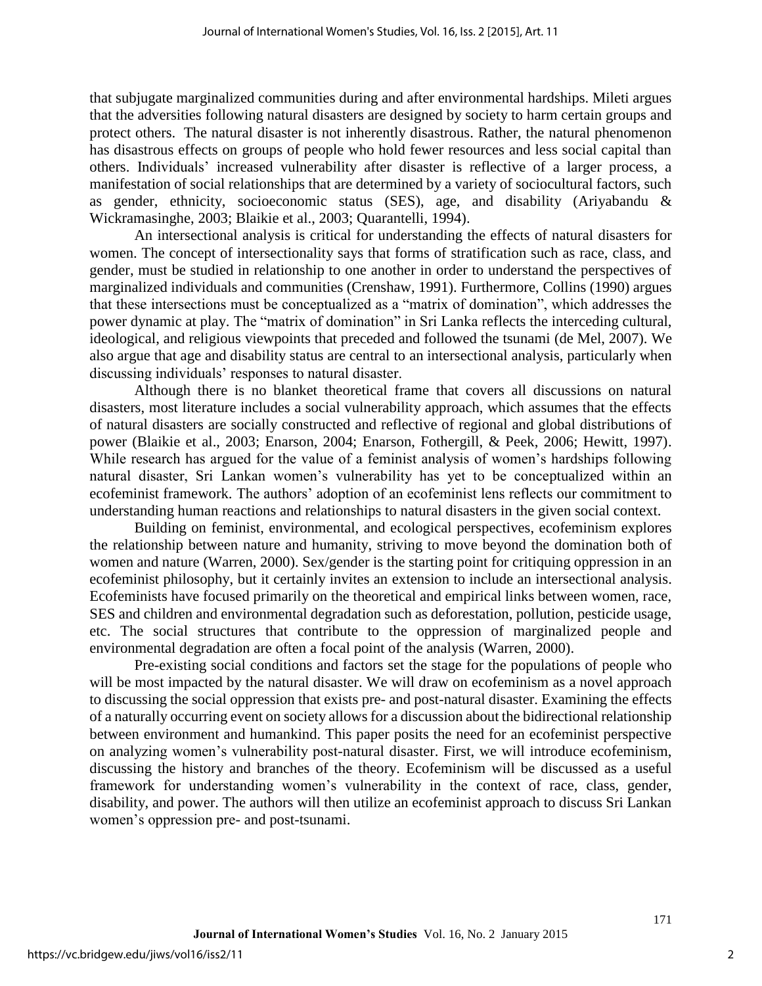that subjugate marginalized communities during and after environmental hardships. Mileti argues that the adversities following natural disasters are designed by society to harm certain groups and protect others. The natural disaster is not inherently disastrous. Rather, the natural phenomenon has disastrous effects on groups of people who hold fewer resources and less social capital than others. Individuals' increased vulnerability after disaster is reflective of a larger process, a manifestation of social relationships that are determined by a variety of sociocultural factors, such as gender, ethnicity, socioeconomic status (SES), age, and disability (Ariyabandu & Wickramasinghe, 2003; Blaikie et al., 2003; Quarantelli, 1994).

An intersectional analysis is critical for understanding the effects of natural disasters for women. The concept of intersectionality says that forms of stratification such as race, class, and gender, must be studied in relationship to one another in order to understand the perspectives of marginalized individuals and communities (Crenshaw, 1991). Furthermore, Collins (1990) argues that these intersections must be conceptualized as a "matrix of domination", which addresses the power dynamic at play. The "matrix of domination" in Sri Lanka reflects the interceding cultural, ideological, and religious viewpoints that preceded and followed the tsunami (de Mel, 2007). We also argue that age and disability status are central to an intersectional analysis, particularly when discussing individuals' responses to natural disaster.

Although there is no blanket theoretical frame that covers all discussions on natural disasters, most literature includes a social vulnerability approach, which assumes that the effects of natural disasters are socially constructed and reflective of regional and global distributions of power (Blaikie et al., 2003; Enarson, 2004; Enarson, Fothergill, & Peek, 2006; Hewitt, 1997). While research has argued for the value of a feminist analysis of women's hardships following natural disaster, Sri Lankan women's vulnerability has yet to be conceptualized within an ecofeminist framework. The authors' adoption of an ecofeminist lens reflects our commitment to understanding human reactions and relationships to natural disasters in the given social context.

Building on feminist, environmental, and ecological perspectives, ecofeminism explores the relationship between nature and humanity, striving to move beyond the domination both of women and nature (Warren, 2000). Sex/gender is the starting point for critiquing oppression in an ecofeminist philosophy, but it certainly invites an extension to include an intersectional analysis. Ecofeminists have focused primarily on the theoretical and empirical links between women, race, SES and children and environmental degradation such as deforestation, pollution, pesticide usage, etc. The social structures that contribute to the oppression of marginalized people and environmental degradation are often a focal point of the analysis (Warren, 2000).

Pre-existing social conditions and factors set the stage for the populations of people who will be most impacted by the natural disaster. We will draw on ecofeminism as a novel approach to discussing the social oppression that exists pre- and post-natural disaster. Examining the effects of a naturally occurring event on society allows for a discussion about the bidirectional relationship between environment and humankind. This paper posits the need for an ecofeminist perspective on analyzing women's vulnerability post-natural disaster. First, we will introduce ecofeminism, discussing the history and branches of the theory. Ecofeminism will be discussed as a useful framework for understanding women's vulnerability in the context of race, class, gender, disability, and power. The authors will then utilize an ecofeminist approach to discuss Sri Lankan women's oppression pre- and post-tsunami.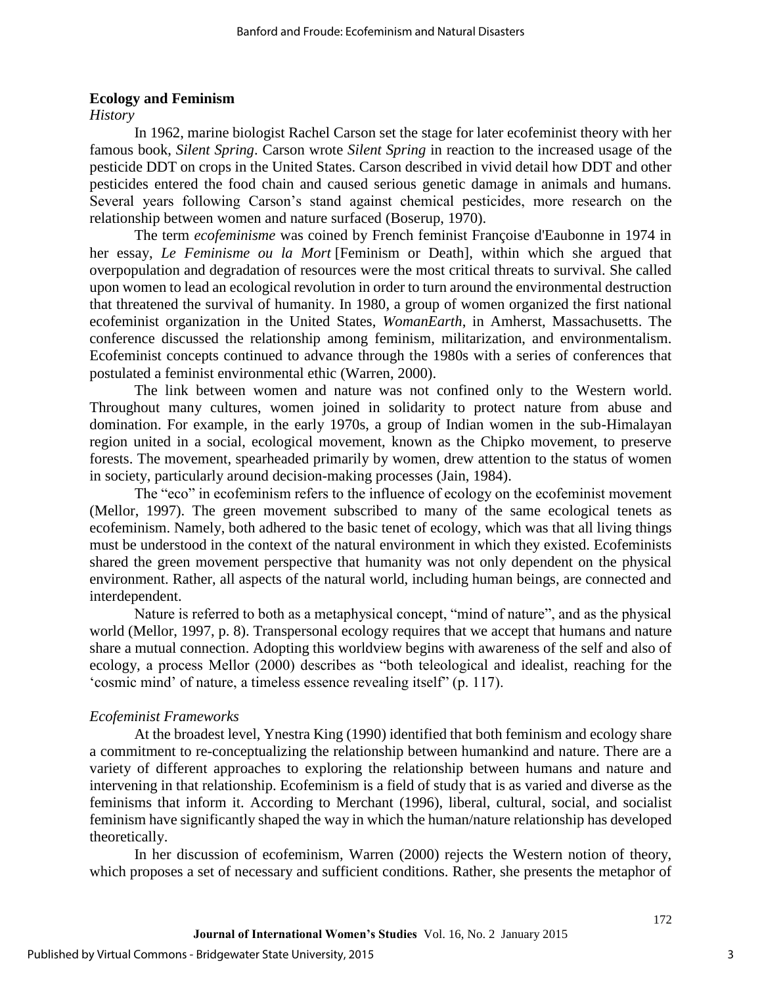#### **Ecology and Feminism**

*History* 

In 1962, marine biologist Rachel Carson set the stage for later ecofeminist theory with her famous book, *Silent Spring*. Carson wrote *Silent Spring* in reaction to the increased usage of the pesticide DDT on crops in the United States. Carson described in vivid detail how DDT and other pesticides entered the food chain and caused serious genetic damage in animals and humans. Several years following Carson's stand against chemical pesticides, more research on the relationship between women and nature surfaced (Boserup, 1970).

The term *ecofeminisme* was coined by French feminist Françoise d'Eaubonne in 1974 in her essay, *Le Feminisme ou la Mort* [Feminism or Death], within which she argued that overpopulation and degradation of resources were the most critical threats to survival. She called upon women to lead an ecological revolution in order to turn around the environmental destruction that threatened the survival of humanity. In 1980, a group of women organized the first national ecofeminist organization in the United States, *WomanEarth*, in Amherst, Massachusetts. The conference discussed the relationship among feminism, militarization, and environmentalism. Ecofeminist concepts continued to advance through the 1980s with a series of conferences that postulated a feminist environmental ethic (Warren, 2000).

The link between women and nature was not confined only to the Western world. Throughout many cultures, women joined in solidarity to protect nature from abuse and domination. For example, in the early 1970s, a group of Indian women in the sub-Himalayan region united in a social, ecological movement, known as the Chipko movement, to preserve forests. The movement, spearheaded primarily by women, drew attention to the status of women in society, particularly around decision-making processes (Jain, 1984).

The "eco" in ecofeminism refers to the influence of ecology on the ecofeminist movement (Mellor, 1997). The green movement subscribed to many of the same ecological tenets as ecofeminism. Namely, both adhered to the basic tenet of ecology, which was that all living things must be understood in the context of the natural environment in which they existed. Ecofeminists shared the green movement perspective that humanity was not only dependent on the physical environment. Rather, all aspects of the natural world, including human beings, are connected and interdependent.

Nature is referred to both as a metaphysical concept, "mind of nature", and as the physical world (Mellor, 1997, p. 8). Transpersonal ecology requires that we accept that humans and nature share a mutual connection. Adopting this worldview begins with awareness of the self and also of ecology, a process Mellor (2000) describes as "both teleological and idealist, reaching for the 'cosmic mind' of nature, a timeless essence revealing itself" (p. 117).

#### *Ecofeminist Frameworks*

At the broadest level, Ynestra King (1990) identified that both feminism and ecology share a commitment to re-conceptualizing the relationship between humankind and nature. There are a variety of different approaches to exploring the relationship between humans and nature and intervening in that relationship. Ecofeminism is a field of study that is as varied and diverse as the feminisms that inform it. According to Merchant (1996), liberal, cultural, social, and socialist feminism have significantly shaped the way in which the human/nature relationship has developed theoretically.

In her discussion of ecofeminism, Warren (2000) rejects the Western notion of theory, which proposes a set of necessary and sufficient conditions. Rather, she presents the metaphor of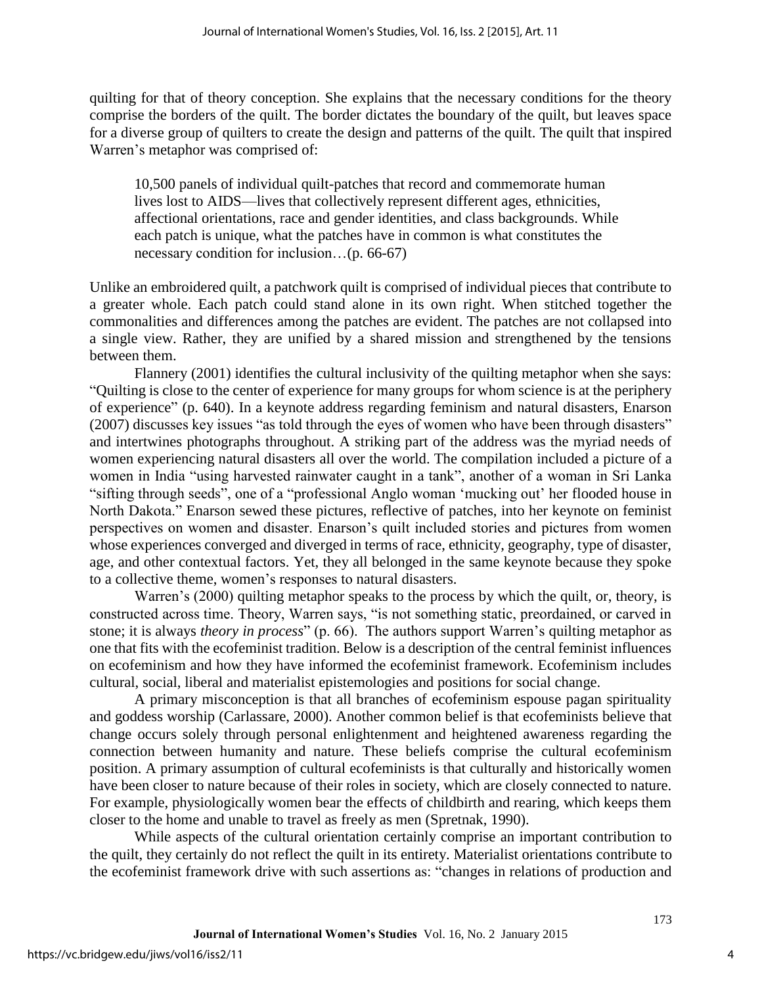quilting for that of theory conception. She explains that the necessary conditions for the theory comprise the borders of the quilt. The border dictates the boundary of the quilt, but leaves space for a diverse group of quilters to create the design and patterns of the quilt. The quilt that inspired Warren's metaphor was comprised of:

10,500 panels of individual quilt-patches that record and commemorate human lives lost to AIDS—lives that collectively represent different ages, ethnicities, affectional orientations, race and gender identities, and class backgrounds. While each patch is unique, what the patches have in common is what constitutes the necessary condition for inclusion…(p. 66-67)

Unlike an embroidered quilt, a patchwork quilt is comprised of individual pieces that contribute to a greater whole. Each patch could stand alone in its own right. When stitched together the commonalities and differences among the patches are evident. The patches are not collapsed into a single view. Rather, they are unified by a shared mission and strengthened by the tensions between them.

Flannery (2001) identifies the cultural inclusivity of the quilting metaphor when she says: "Quilting is close to the center of experience for many groups for whom science is at the periphery of experience" (p. 640). In a keynote address regarding feminism and natural disasters, Enarson (2007) discusses key issues "as told through the eyes of women who have been through disasters" and intertwines photographs throughout. A striking part of the address was the myriad needs of women experiencing natural disasters all over the world. The compilation included a picture of a women in India "using harvested rainwater caught in a tank", another of a woman in Sri Lanka "sifting through seeds", one of a "professional Anglo woman 'mucking out' her flooded house in North Dakota." Enarson sewed these pictures, reflective of patches, into her keynote on feminist perspectives on women and disaster. Enarson's quilt included stories and pictures from women whose experiences converged and diverged in terms of race, ethnicity, geography, type of disaster, age, and other contextual factors. Yet, they all belonged in the same keynote because they spoke to a collective theme, women's responses to natural disasters.

Warren's (2000) quilting metaphor speaks to the process by which the quilt, or, theory, is constructed across time. Theory, Warren says, "is not something static, preordained, or carved in stone; it is always *theory in process*" (p. 66). The authors support Warren's quilting metaphor as one that fits with the ecofeminist tradition. Below is a description of the central feminist influences on ecofeminism and how they have informed the ecofeminist framework. Ecofeminism includes cultural, social, liberal and materialist epistemologies and positions for social change.

A primary misconception is that all branches of ecofeminism espouse pagan spirituality and goddess worship (Carlassare, 2000). Another common belief is that ecofeminists believe that change occurs solely through personal enlightenment and heightened awareness regarding the connection between humanity and nature. These beliefs comprise the cultural ecofeminism position. A primary assumption of cultural ecofeminists is that culturally and historically women have been closer to nature because of their roles in society, which are closely connected to nature. For example, physiologically women bear the effects of childbirth and rearing, which keeps them closer to the home and unable to travel as freely as men (Spretnak, 1990).

While aspects of the cultural orientation certainly comprise an important contribution to the quilt, they certainly do not reflect the quilt in its entirety. Materialist orientations contribute to the ecofeminist framework drive with such assertions as: "changes in relations of production and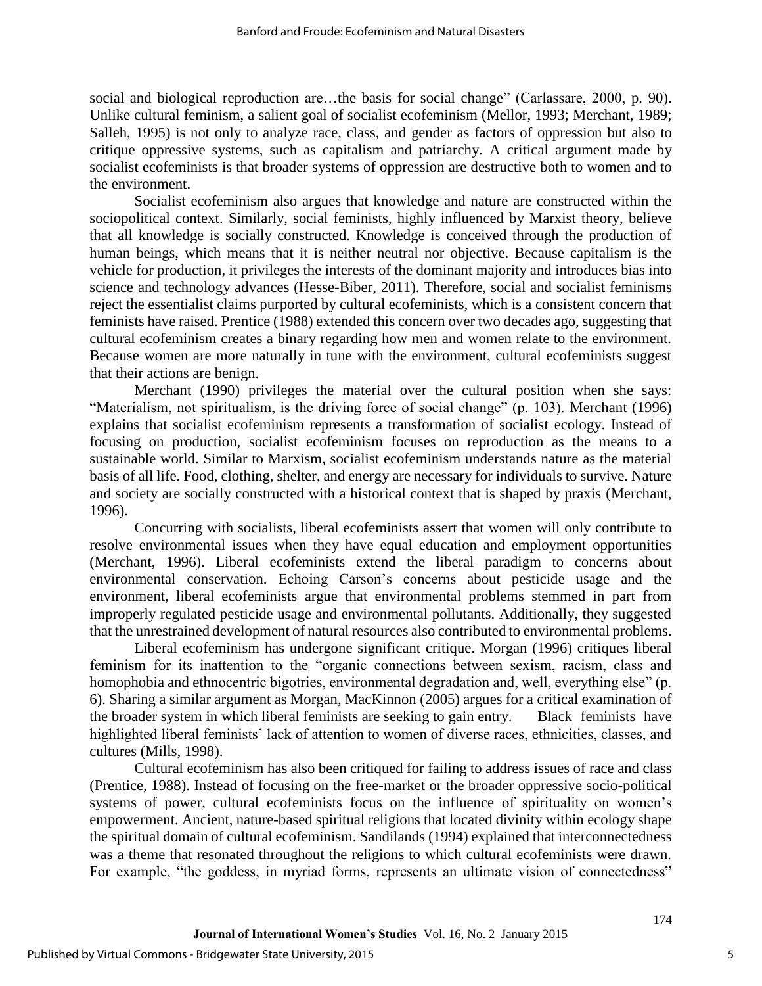social and biological reproduction are...the basis for social change" (Carlassare, 2000, p. 90). Unlike cultural feminism, a salient goal of socialist ecofeminism (Mellor, 1993; Merchant, 1989; Salleh, 1995) is not only to analyze race, class, and gender as factors of oppression but also to critique oppressive systems, such as capitalism and patriarchy. A critical argument made by socialist ecofeminists is that broader systems of oppression are destructive both to women and to the environment.

Socialist ecofeminism also argues that knowledge and nature are constructed within the sociopolitical context. Similarly, social feminists, highly influenced by Marxist theory, believe that all knowledge is socially constructed. Knowledge is conceived through the production of human beings, which means that it is neither neutral nor objective. Because capitalism is the vehicle for production, it privileges the interests of the dominant majority and introduces bias into science and technology advances (Hesse-Biber, 2011). Therefore, social and socialist feminisms reject the essentialist claims purported by cultural ecofeminists, which is a consistent concern that feminists have raised. Prentice (1988) extended this concern over two decades ago, suggesting that cultural ecofeminism creates a binary regarding how men and women relate to the environment. Because women are more naturally in tune with the environment, cultural ecofeminists suggest that their actions are benign.

Merchant (1990) privileges the material over the cultural position when she says: "Materialism, not spiritualism, is the driving force of social change" (p. 103). Merchant (1996) explains that socialist ecofeminism represents a transformation of socialist ecology. Instead of focusing on production, socialist ecofeminism focuses on reproduction as the means to a sustainable world. Similar to Marxism, socialist ecofeminism understands nature as the material basis of all life. Food, clothing, shelter, and energy are necessary for individuals to survive. Nature and society are socially constructed with a historical context that is shaped by praxis (Merchant, 1996).

Concurring with socialists, liberal ecofeminists assert that women will only contribute to resolve environmental issues when they have equal education and employment opportunities (Merchant, 1996). Liberal ecofeminists extend the liberal paradigm to concerns about environmental conservation. Echoing Carson's concerns about pesticide usage and the environment, liberal ecofeminists argue that environmental problems stemmed in part from improperly regulated pesticide usage and environmental pollutants. Additionally, they suggested that the unrestrained development of natural resources also contributed to environmental problems.

Liberal ecofeminism has undergone significant critique. Morgan (1996) critiques liberal feminism for its inattention to the "organic connections between sexism, racism, class and homophobia and ethnocentric bigotries, environmental degradation and, well, everything else" (p. 6). Sharing a similar argument as Morgan, MacKinnon (2005) argues for a critical examination of the broader system in which liberal feminists are seeking to gain entry. Black feminists have highlighted liberal feminists' lack of attention to women of diverse races, ethnicities, classes, and cultures (Mills, 1998).

Cultural ecofeminism has also been critiqued for failing to address issues of race and class (Prentice, 1988). Instead of focusing on the free-market or the broader oppressive socio-political systems of power, cultural ecofeminists focus on the influence of spirituality on women's empowerment. Ancient, nature-based spiritual religions that located divinity within ecology shape the spiritual domain of cultural ecofeminism. Sandilands (1994) explained that interconnectedness was a theme that resonated throughout the religions to which cultural ecofeminists were drawn. For example, "the goddess, in myriad forms, represents an ultimate vision of connectedness"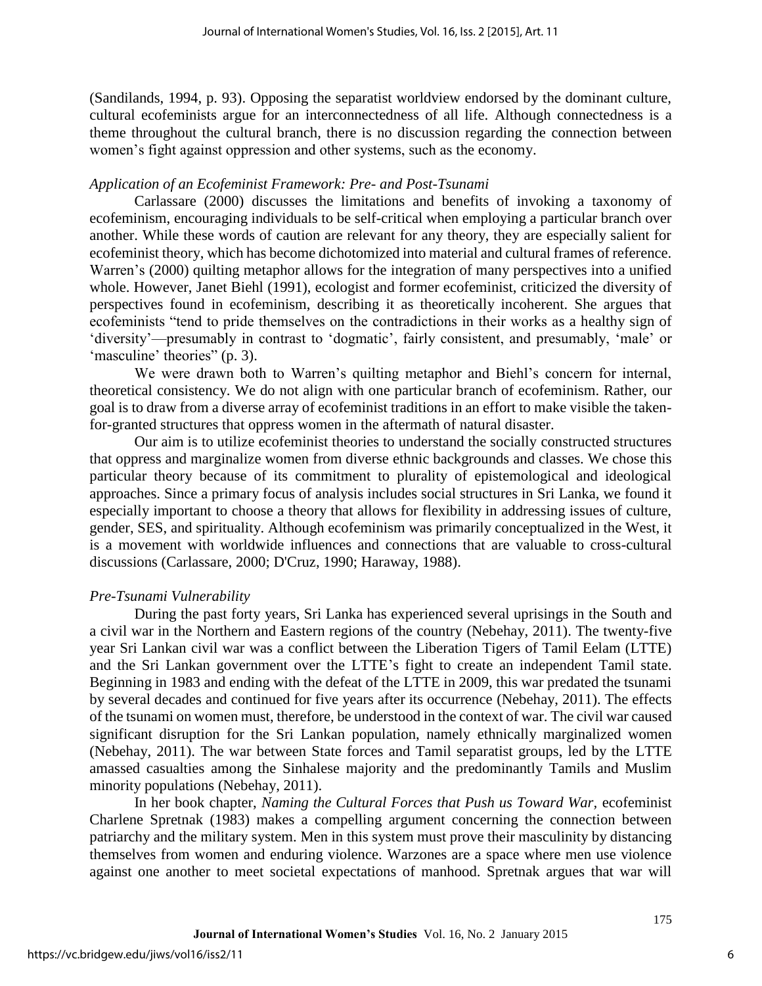(Sandilands, 1994, p. 93). Opposing the separatist worldview endorsed by the dominant culture, cultural ecofeminists argue for an interconnectedness of all life. Although connectedness is a theme throughout the cultural branch, there is no discussion regarding the connection between women's fight against oppression and other systems, such as the economy.

#### *Application of an Ecofeminist Framework: Pre- and Post-Tsunami*

Carlassare (2000) discusses the limitations and benefits of invoking a taxonomy of ecofeminism, encouraging individuals to be self-critical when employing a particular branch over another. While these words of caution are relevant for any theory, they are especially salient for ecofeminist theory, which has become dichotomized into material and cultural frames of reference. Warren's (2000) quilting metaphor allows for the integration of many perspectives into a unified whole. However, Janet Biehl (1991), ecologist and former ecofeminist, criticized the diversity of perspectives found in ecofeminism, describing it as theoretically incoherent. She argues that ecofeminists "tend to pride themselves on the contradictions in their works as a healthy sign of 'diversity'—presumably in contrast to 'dogmatic', fairly consistent, and presumably, 'male' or 'masculine' theories'' (p. 3).

We were drawn both to Warren's quilting metaphor and Biehl's concern for internal, theoretical consistency. We do not align with one particular branch of ecofeminism. Rather, our goal is to draw from a diverse array of ecofeminist traditions in an effort to make visible the takenfor-granted structures that oppress women in the aftermath of natural disaster.

Our aim is to utilize ecofeminist theories to understand the socially constructed structures that oppress and marginalize women from diverse ethnic backgrounds and classes. We chose this particular theory because of its commitment to plurality of epistemological and ideological approaches. Since a primary focus of analysis includes social structures in Sri Lanka, we found it especially important to choose a theory that allows for flexibility in addressing issues of culture, gender, SES, and spirituality. Although ecofeminism was primarily conceptualized in the West, it is a movement with worldwide influences and connections that are valuable to cross-cultural discussions (Carlassare, 2000; D'Cruz, 1990; Haraway, 1988).

### *Pre-Tsunami Vulnerability*

During the past forty years, Sri Lanka has experienced several uprisings in the South and a civil war in the Northern and Eastern regions of the country (Nebehay, 2011). The twenty-five year Sri Lankan civil war was a conflict between the Liberation Tigers of Tamil Eelam (LTTE) and the Sri Lankan government over the LTTE's fight to create an independent Tamil state. Beginning in 1983 and ending with the defeat of the LTTE in 2009, this war predated the tsunami by several decades and continued for five years after its occurrence (Nebehay, 2011). The effects of the tsunami on women must, therefore, be understood in the context of war. The civil war caused significant disruption for the Sri Lankan population, namely ethnically marginalized women (Nebehay, 2011). The war between State forces and Tamil separatist groups, led by the LTTE amassed casualties among the Sinhalese majority and the predominantly Tamils and Muslim minority populations (Nebehay, 2011).

In her book chapter, *Naming the Cultural Forces that Push us Toward War,* ecofeminist Charlene Spretnak (1983) makes a compelling argument concerning the connection between patriarchy and the military system. Men in this system must prove their masculinity by distancing themselves from women and enduring violence. Warzones are a space where men use violence against one another to meet societal expectations of manhood. Spretnak argues that war will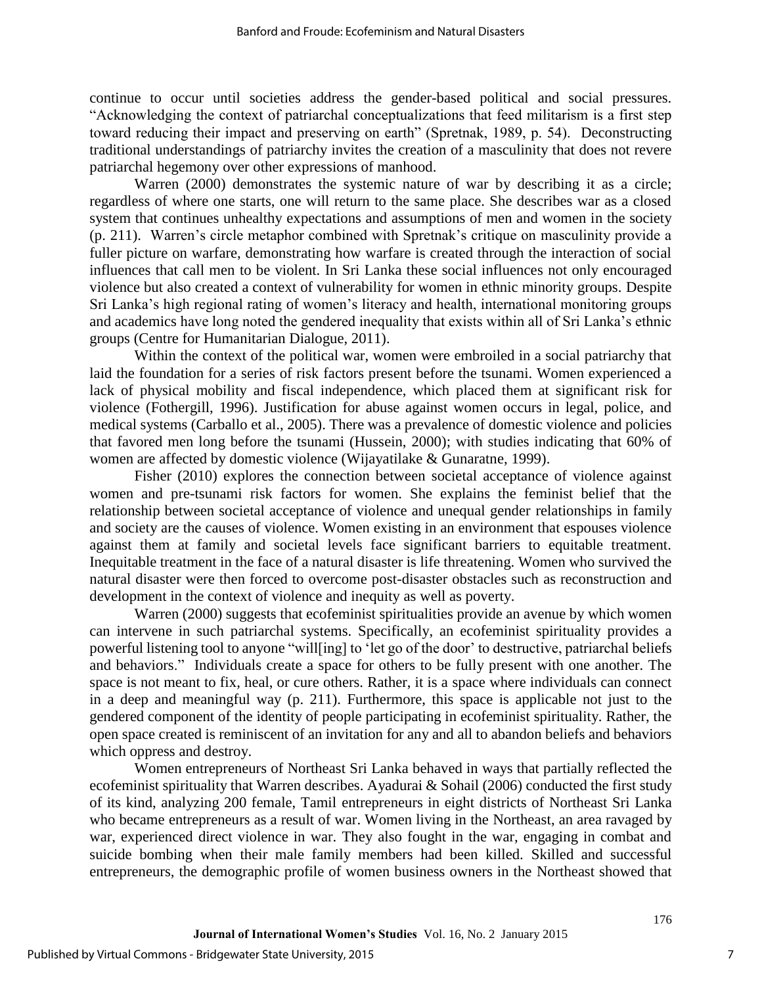continue to occur until societies address the gender-based political and social pressures. "Acknowledging the context of patriarchal conceptualizations that feed militarism is a first step toward reducing their impact and preserving on earth" (Spretnak, 1989, p. 54). Deconstructing traditional understandings of patriarchy invites the creation of a masculinity that does not revere patriarchal hegemony over other expressions of manhood.

Warren (2000) demonstrates the systemic nature of war by describing it as a circle; regardless of where one starts, one will return to the same place. She describes war as a closed system that continues unhealthy expectations and assumptions of men and women in the society (p. 211). Warren's circle metaphor combined with Spretnak's critique on masculinity provide a fuller picture on warfare, demonstrating how warfare is created through the interaction of social influences that call men to be violent. In Sri Lanka these social influences not only encouraged violence but also created a context of vulnerability for women in ethnic minority groups. Despite Sri Lanka's high regional rating of women's literacy and health, international monitoring groups and academics have long noted the gendered inequality that exists within all of Sri Lanka's ethnic groups (Centre for Humanitarian Dialogue, 2011).

Within the context of the political war, women were embroiled in a social patriarchy that laid the foundation for a series of risk factors present before the tsunami. Women experienced a lack of physical mobility and fiscal independence, which placed them at significant risk for violence (Fothergill, 1996). Justification for abuse against women occurs in legal, police, and medical systems (Carballo et al., 2005). There was a prevalence of domestic violence and policies that favored men long before the tsunami (Hussein, 2000); with studies indicating that 60% of women are affected by domestic violence (Wijayatilake & Gunaratne, 1999).

Fisher (2010) explores the connection between societal acceptance of violence against women and pre-tsunami risk factors for women. She explains the feminist belief that the relationship between societal acceptance of violence and unequal gender relationships in family and society are the causes of violence. Women existing in an environment that espouses violence against them at family and societal levels face significant barriers to equitable treatment. Inequitable treatment in the face of a natural disaster is life threatening. Women who survived the natural disaster were then forced to overcome post-disaster obstacles such as reconstruction and development in the context of violence and inequity as well as poverty.

Warren (2000) suggests that ecofeminist spiritualities provide an avenue by which women can intervene in such patriarchal systems. Specifically, an ecofeminist spirituality provides a powerful listening tool to anyone "will[ing] to 'let go of the door' to destructive, patriarchal beliefs and behaviors." Individuals create a space for others to be fully present with one another. The space is not meant to fix, heal, or cure others. Rather, it is a space where individuals can connect in a deep and meaningful way (p. 211). Furthermore, this space is applicable not just to the gendered component of the identity of people participating in ecofeminist spirituality. Rather, the open space created is reminiscent of an invitation for any and all to abandon beliefs and behaviors which oppress and destroy.

Women entrepreneurs of Northeast Sri Lanka behaved in ways that partially reflected the ecofeminist spirituality that Warren describes. Ayadurai & Sohail (2006) conducted the first study of its kind, analyzing 200 female, Tamil entrepreneurs in eight districts of Northeast Sri Lanka who became entrepreneurs as a result of war. Women living in the Northeast, an area ravaged by war, experienced direct violence in war. They also fought in the war, engaging in combat and suicide bombing when their male family members had been killed. Skilled and successful entrepreneurs, the demographic profile of women business owners in the Northeast showed that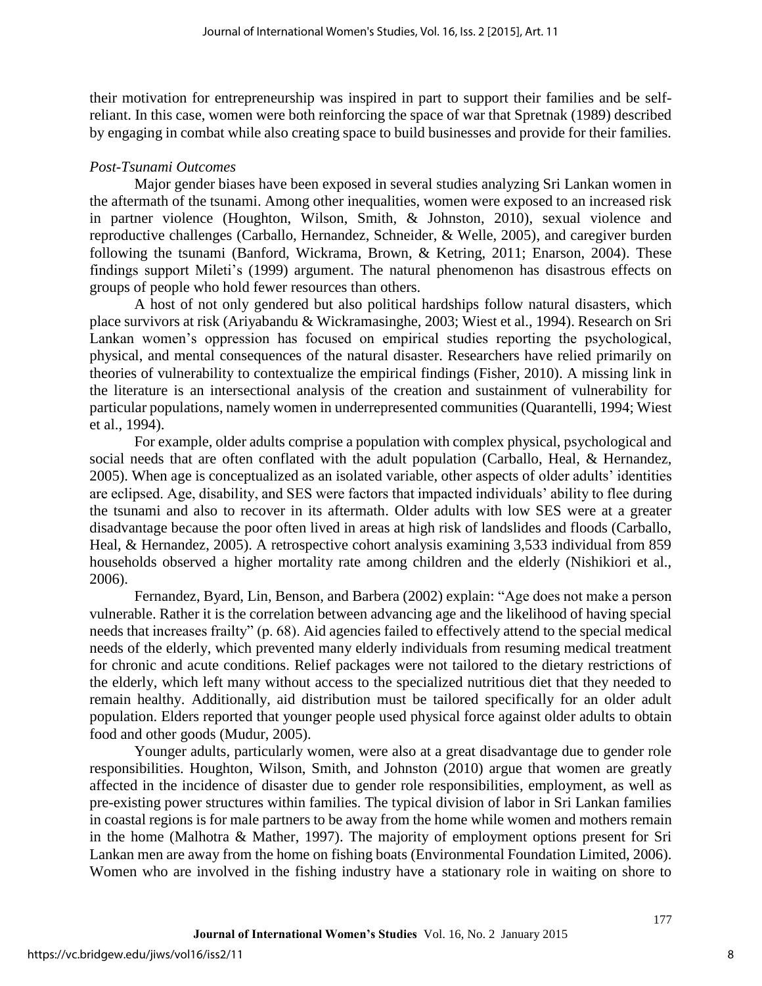their motivation for entrepreneurship was inspired in part to support their families and be selfreliant. In this case, women were both reinforcing the space of war that Spretnak (1989) described by engaging in combat while also creating space to build businesses and provide for their families.

#### *Post-Tsunami Outcomes*

Major gender biases have been exposed in several studies analyzing Sri Lankan women in the aftermath of the tsunami. Among other inequalities, women were exposed to an increased risk in partner violence (Houghton, Wilson, Smith, & Johnston, 2010), sexual violence and reproductive challenges (Carballo, Hernandez, Schneider, & Welle, 2005), and caregiver burden following the tsunami (Banford, Wickrama, Brown, & Ketring, 2011; Enarson, 2004). These findings support Mileti's (1999) argument. The natural phenomenon has disastrous effects on groups of people who hold fewer resources than others.

A host of not only gendered but also political hardships follow natural disasters, which place survivors at risk (Ariyabandu & Wickramasinghe, 2003; Wiest et al., 1994). Research on Sri Lankan women's oppression has focused on empirical studies reporting the psychological, physical, and mental consequences of the natural disaster. Researchers have relied primarily on theories of vulnerability to contextualize the empirical findings (Fisher, 2010). A missing link in the literature is an intersectional analysis of the creation and sustainment of vulnerability for particular populations, namely women in underrepresented communities (Quarantelli, 1994; Wiest et al., 1994).

For example, older adults comprise a population with complex physical, psychological and social needs that are often conflated with the adult population (Carballo, Heal, & Hernandez, 2005). When age is conceptualized as an isolated variable, other aspects of older adults' identities are eclipsed. Age, disability, and SES were factors that impacted individuals' ability to flee during the tsunami and also to recover in its aftermath. Older adults with low SES were at a greater disadvantage because the poor often lived in areas at high risk of landslides and floods (Carballo, Heal, & Hernandez, 2005). A retrospective cohort analysis examining 3,533 individual from 859 households observed a higher mortality rate among children and the elderly (Nishikiori et al., 2006).

Fernandez, Byard, Lin, Benson, and Barbera (2002) explain: "Age does not make a person vulnerable. Rather it is the correlation between advancing age and the likelihood of having special needs that increases frailty" (p. 68). Aid agencies failed to effectively attend to the special medical needs of the elderly, which prevented many elderly individuals from resuming medical treatment for chronic and acute conditions. Relief packages were not tailored to the dietary restrictions of the elderly, which left many without access to the specialized nutritious diet that they needed to remain healthy. Additionally, aid distribution must be tailored specifically for an older adult population. Elders reported that younger people used physical force against older adults to obtain food and other goods (Mudur, 2005).

Younger adults, particularly women, were also at a great disadvantage due to gender role responsibilities. Houghton, Wilson, Smith, and Johnston (2010) argue that women are greatly affected in the incidence of disaster due to gender role responsibilities, employment, as well as pre-existing power structures within families. The typical division of labor in Sri Lankan families in coastal regions is for male partners to be away from the home while women and mothers remain in the home (Malhotra & Mather, 1997). The majority of employment options present for Sri Lankan men are away from the home on fishing boats (Environmental Foundation Limited, 2006). Women who are involved in the fishing industry have a stationary role in waiting on shore to

8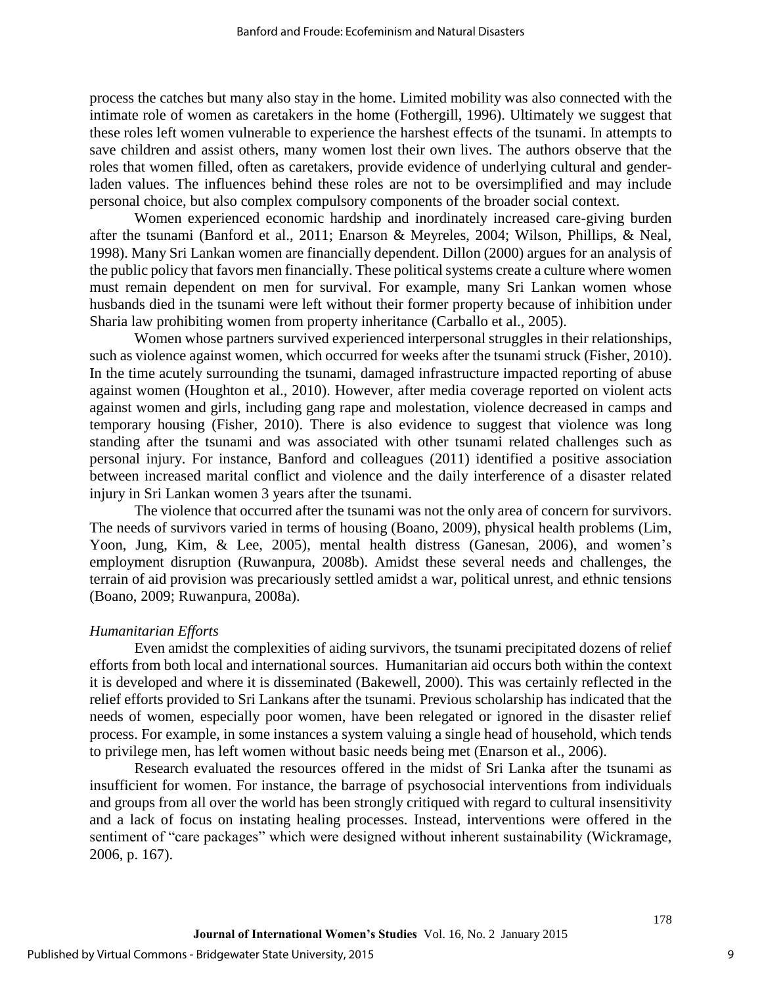process the catches but many also stay in the home. Limited mobility was also connected with the intimate role of women as caretakers in the home (Fothergill, 1996). Ultimately we suggest that these roles left women vulnerable to experience the harshest effects of the tsunami. In attempts to save children and assist others, many women lost their own lives. The authors observe that the roles that women filled, often as caretakers, provide evidence of underlying cultural and genderladen values. The influences behind these roles are not to be oversimplified and may include personal choice, but also complex compulsory components of the broader social context.

Women experienced economic hardship and inordinately increased care-giving burden after the tsunami (Banford et al., 2011; Enarson & Meyreles, 2004; Wilson, Phillips, & Neal, 1998). Many Sri Lankan women are financially dependent. Dillon (2000) argues for an analysis of the public policy that favors men financially. These political systems create a culture where women must remain dependent on men for survival. For example, many Sri Lankan women whose husbands died in the tsunami were left without their former property because of inhibition under Sharia law prohibiting women from property inheritance (Carballo et al., 2005).

Women whose partners survived experienced interpersonal struggles in their relationships, such as violence against women, which occurred for weeks after the tsunami struck (Fisher, 2010). In the time acutely surrounding the tsunami, damaged infrastructure impacted reporting of abuse against women (Houghton et al., 2010). However, after media coverage reported on violent acts against women and girls, including gang rape and molestation, violence decreased in camps and temporary housing (Fisher, 2010). There is also evidence to suggest that violence was long standing after the tsunami and was associated with other tsunami related challenges such as personal injury. For instance, Banford and colleagues (2011) identified a positive association between increased marital conflict and violence and the daily interference of a disaster related injury in Sri Lankan women 3 years after the tsunami.

The violence that occurred after the tsunami was not the only area of concern for survivors. The needs of survivors varied in terms of housing (Boano, 2009), physical health problems (Lim, Yoon, Jung, Kim, & Lee, 2005), mental health distress (Ganesan, 2006), and women's employment disruption (Ruwanpura, 2008b). Amidst these several needs and challenges, the terrain of aid provision was precariously settled amidst a war, political unrest, and ethnic tensions (Boano, 2009; Ruwanpura, 2008a).

### *Humanitarian Efforts*

Even amidst the complexities of aiding survivors, the tsunami precipitated dozens of relief efforts from both local and international sources. Humanitarian aid occurs both within the context it is developed and where it is disseminated (Bakewell, 2000). This was certainly reflected in the relief efforts provided to Sri Lankans after the tsunami. Previous scholarship has indicated that the needs of women, especially poor women, have been relegated or ignored in the disaster relief process. For example, in some instances a system valuing a single head of household, which tends to privilege men, has left women without basic needs being met (Enarson et al., 2006).

Research evaluated the resources offered in the midst of Sri Lanka after the tsunami as insufficient for women. For instance, the barrage of psychosocial interventions from individuals and groups from all over the world has been strongly critiqued with regard to cultural insensitivity and a lack of focus on instating healing processes. Instead, interventions were offered in the sentiment of "care packages" which were designed without inherent sustainability (Wickramage, 2006, p. 167).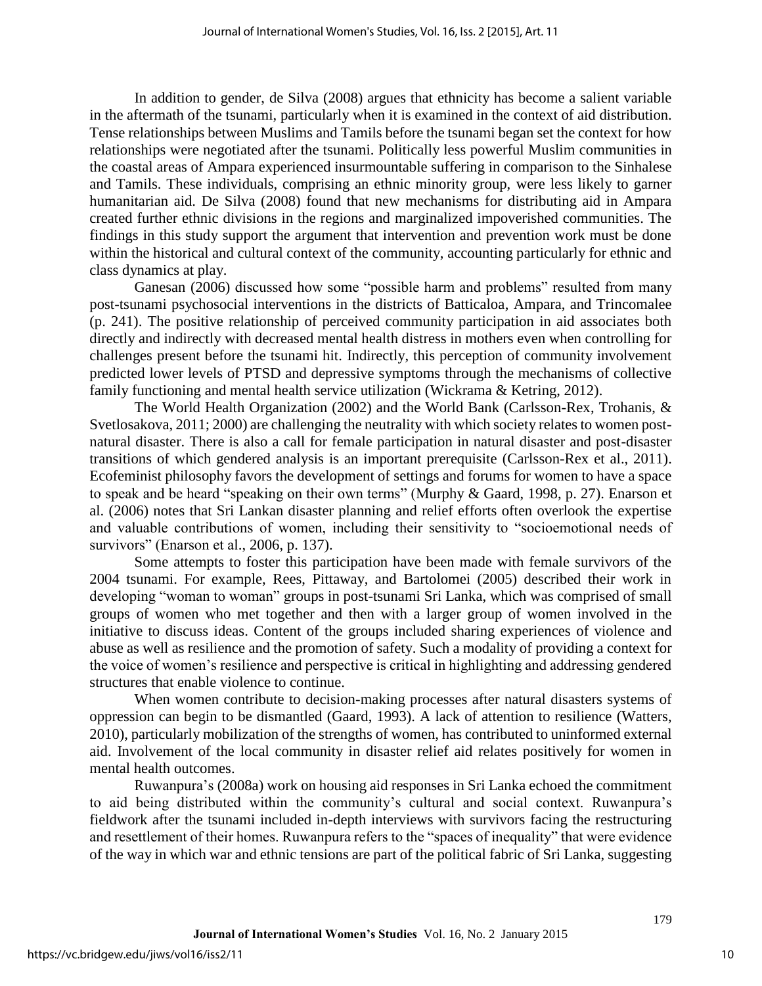In addition to gender, de Silva (2008) argues that ethnicity has become a salient variable in the aftermath of the tsunami, particularly when it is examined in the context of aid distribution. Tense relationships between Muslims and Tamils before the tsunami began set the context for how relationships were negotiated after the tsunami. Politically less powerful Muslim communities in the coastal areas of Ampara experienced insurmountable suffering in comparison to the Sinhalese and Tamils. These individuals, comprising an ethnic minority group, were less likely to garner humanitarian aid. De Silva (2008) found that new mechanisms for distributing aid in Ampara created further ethnic divisions in the regions and marginalized impoverished communities. The findings in this study support the argument that intervention and prevention work must be done within the historical and cultural context of the community, accounting particularly for ethnic and class dynamics at play.

Ganesan (2006) discussed how some "possible harm and problems" resulted from many post-tsunami psychosocial interventions in the districts of Batticaloa, Ampara, and Trincomalee (p. 241). The positive relationship of perceived community participation in aid associates both directly and indirectly with decreased mental health distress in mothers even when controlling for challenges present before the tsunami hit. Indirectly, this perception of community involvement predicted lower levels of PTSD and depressive symptoms through the mechanisms of collective family functioning and mental health service utilization (Wickrama & Ketring, 2012).

The World Health Organization (2002) and the World Bank (Carlsson-Rex, Trohanis, & Svetlosakova, 2011; 2000) are challenging the neutrality with which society relates to women postnatural disaster. There is also a call for female participation in natural disaster and post-disaster transitions of which gendered analysis is an important prerequisite (Carlsson-Rex et al., 2011). Ecofeminist philosophy favors the development of settings and forums for women to have a space to speak and be heard "speaking on their own terms" (Murphy & Gaard, 1998, p. 27). Enarson et al. (2006) notes that Sri Lankan disaster planning and relief efforts often overlook the expertise and valuable contributions of women, including their sensitivity to "socioemotional needs of survivors" (Enarson et al., 2006, p. 137).

Some attempts to foster this participation have been made with female survivors of the 2004 tsunami. For example, Rees, Pittaway, and Bartolomei (2005) described their work in developing "woman to woman" groups in post-tsunami Sri Lanka, which was comprised of small groups of women who met together and then with a larger group of women involved in the initiative to discuss ideas. Content of the groups included sharing experiences of violence and abuse as well as resilience and the promotion of safety. Such a modality of providing a context for the voice of women's resilience and perspective is critical in highlighting and addressing gendered structures that enable violence to continue.

When women contribute to decision-making processes after natural disasters systems of oppression can begin to be dismantled (Gaard, 1993). A lack of attention to resilience (Watters, 2010), particularly mobilization of the strengths of women, has contributed to uninformed external aid. Involvement of the local community in disaster relief aid relates positively for women in mental health outcomes.

Ruwanpura's (2008a) work on housing aid responses in Sri Lanka echoed the commitment to aid being distributed within the community's cultural and social context. Ruwanpura's fieldwork after the tsunami included in-depth interviews with survivors facing the restructuring and resettlement of their homes. Ruwanpura refers to the "spaces of inequality" that were evidence of the way in which war and ethnic tensions are part of the political fabric of Sri Lanka, suggesting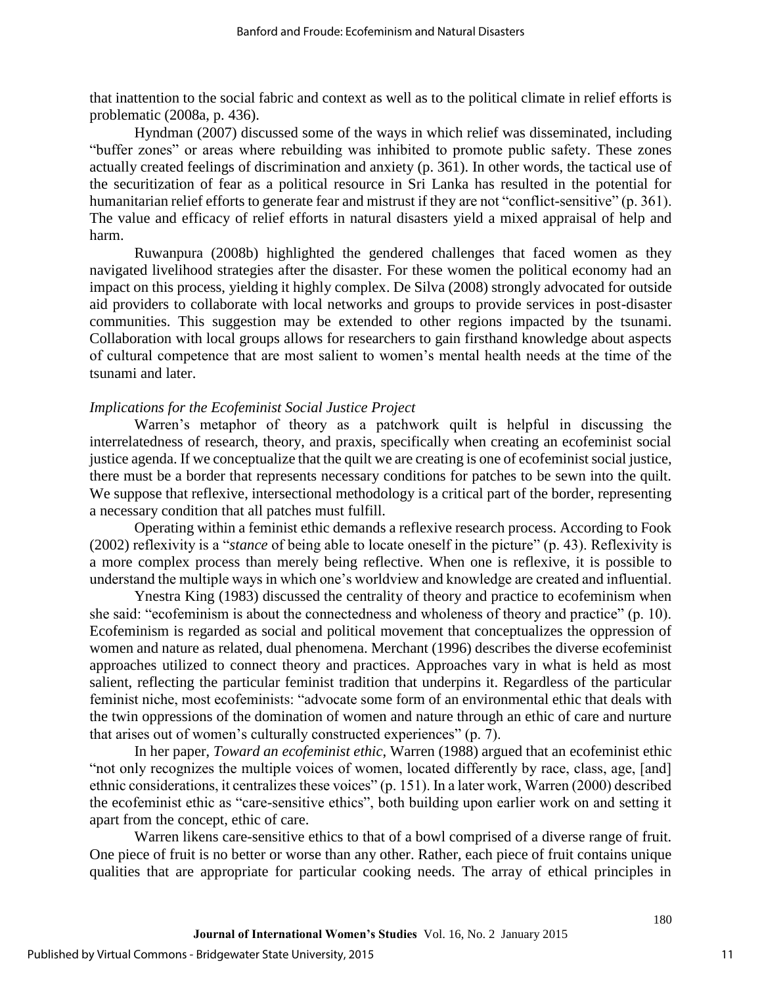that inattention to the social fabric and context as well as to the political climate in relief efforts is problematic (2008a, p. 436).

Hyndman (2007) discussed some of the ways in which relief was disseminated, including "buffer zones" or areas where rebuilding was inhibited to promote public safety. These zones actually created feelings of discrimination and anxiety (p. 361). In other words, the tactical use of the securitization of fear as a political resource in Sri Lanka has resulted in the potential for humanitarian relief efforts to generate fear and mistrust if they are not "conflict-sensitive" (p. 361). The value and efficacy of relief efforts in natural disasters yield a mixed appraisal of help and harm.

Ruwanpura (2008b) highlighted the gendered challenges that faced women as they navigated livelihood strategies after the disaster. For these women the political economy had an impact on this process, yielding it highly complex. De Silva (2008) strongly advocated for outside aid providers to collaborate with local networks and groups to provide services in post-disaster communities. This suggestion may be extended to other regions impacted by the tsunami. Collaboration with local groups allows for researchers to gain firsthand knowledge about aspects of cultural competence that are most salient to women's mental health needs at the time of the tsunami and later.

#### *Implications for the Ecofeminist Social Justice Project*

Warren's metaphor of theory as a patchwork quilt is helpful in discussing the interrelatedness of research, theory, and praxis, specifically when creating an ecofeminist social justice agenda. If we conceptualize that the quilt we are creating is one of ecofeminist social justice, there must be a border that represents necessary conditions for patches to be sewn into the quilt. We suppose that reflexive, intersectional methodology is a critical part of the border, representing a necessary condition that all patches must fulfill.

Operating within a feminist ethic demands a reflexive research process. According to Fook (2002) reflexivity is a "*stance* of being able to locate oneself in the picture" (p. 43). Reflexivity is a more complex process than merely being reflective. When one is reflexive, it is possible to understand the multiple ways in which one's worldview and knowledge are created and influential.

Ynestra King (1983) discussed the centrality of theory and practice to ecofeminism when she said: "ecofeminism is about the connectedness and wholeness of theory and practice" (p. 10). Ecofeminism is regarded as social and political movement that conceptualizes the oppression of women and nature as related, dual phenomena. Merchant (1996) describes the diverse ecofeminist approaches utilized to connect theory and practices. Approaches vary in what is held as most salient, reflecting the particular feminist tradition that underpins it. Regardless of the particular feminist niche, most ecofeminists: "advocate some form of an environmental ethic that deals with the twin oppressions of the domination of women and nature through an ethic of care and nurture that arises out of women's culturally constructed experiences" (p. 7).

In her paper, *Toward an ecofeminist ethic*, Warren (1988) argued that an ecofeminist ethic "not only recognizes the multiple voices of women, located differently by race, class, age, [and] ethnic considerations, it centralizes these voices" (p. 151). In a later work, Warren (2000) described the ecofeminist ethic as "care-sensitive ethics", both building upon earlier work on and setting it apart from the concept, ethic of care.

Warren likens care-sensitive ethics to that of a bowl comprised of a diverse range of fruit. One piece of fruit is no better or worse than any other. Rather, each piece of fruit contains unique qualities that are appropriate for particular cooking needs. The array of ethical principles in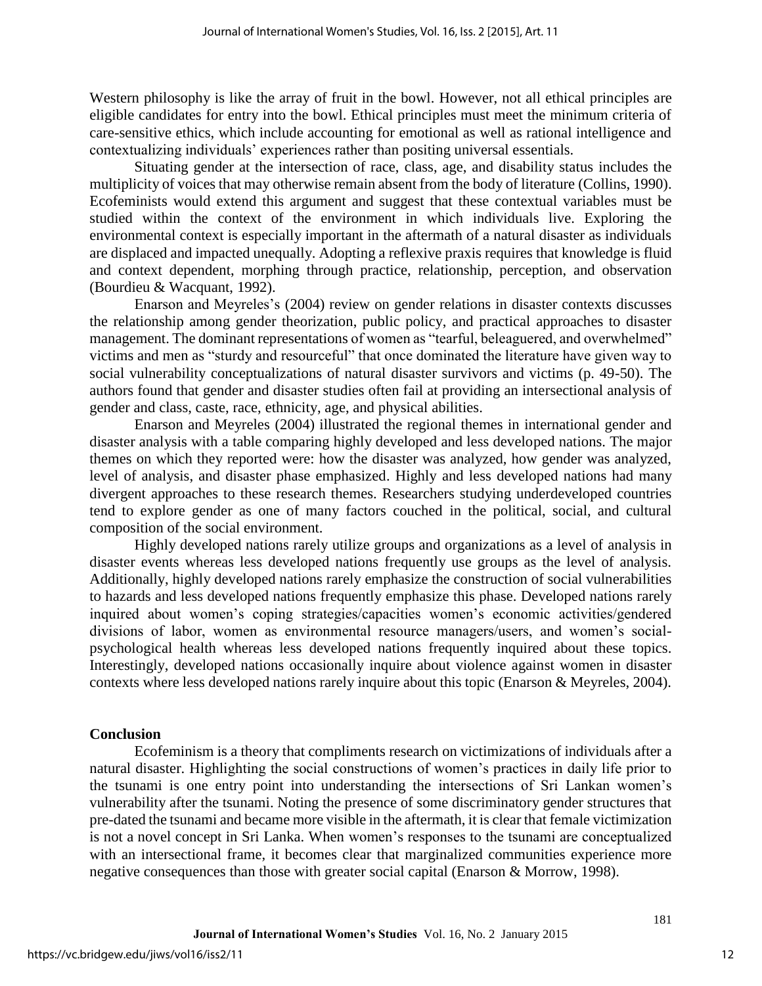Western philosophy is like the array of fruit in the bowl. However, not all ethical principles are eligible candidates for entry into the bowl. Ethical principles must meet the minimum criteria of care-sensitive ethics, which include accounting for emotional as well as rational intelligence and contextualizing individuals' experiences rather than positing universal essentials.

Situating gender at the intersection of race, class, age, and disability status includes the multiplicity of voices that may otherwise remain absent from the body of literature (Collins, 1990). Ecofeminists would extend this argument and suggest that these contextual variables must be studied within the context of the environment in which individuals live. Exploring the environmental context is especially important in the aftermath of a natural disaster as individuals are displaced and impacted unequally. Adopting a reflexive praxis requires that knowledge is fluid and context dependent, morphing through practice, relationship, perception, and observation (Bourdieu & Wacquant, 1992).

Enarson and Meyreles's (2004) review on gender relations in disaster contexts discusses the relationship among gender theorization, public policy, and practical approaches to disaster management. The dominant representations of women as "tearful, beleaguered, and overwhelmed" victims and men as "sturdy and resourceful" that once dominated the literature have given way to social vulnerability conceptualizations of natural disaster survivors and victims (p. 49-50). The authors found that gender and disaster studies often fail at providing an intersectional analysis of gender and class, caste, race, ethnicity, age, and physical abilities.

Enarson and Meyreles (2004) illustrated the regional themes in international gender and disaster analysis with a table comparing highly developed and less developed nations. The major themes on which they reported were: how the disaster was analyzed, how gender was analyzed, level of analysis, and disaster phase emphasized. Highly and less developed nations had many divergent approaches to these research themes. Researchers studying underdeveloped countries tend to explore gender as one of many factors couched in the political, social, and cultural composition of the social environment.

Highly developed nations rarely utilize groups and organizations as a level of analysis in disaster events whereas less developed nations frequently use groups as the level of analysis. Additionally, highly developed nations rarely emphasize the construction of social vulnerabilities to hazards and less developed nations frequently emphasize this phase. Developed nations rarely inquired about women's coping strategies/capacities women's economic activities/gendered divisions of labor, women as environmental resource managers/users, and women's socialpsychological health whereas less developed nations frequently inquired about these topics. Interestingly, developed nations occasionally inquire about violence against women in disaster contexts where less developed nations rarely inquire about this topic (Enarson & Meyreles, 2004).

### **Conclusion**

Ecofeminism is a theory that compliments research on victimizations of individuals after a natural disaster. Highlighting the social constructions of women's practices in daily life prior to the tsunami is one entry point into understanding the intersections of Sri Lankan women's vulnerability after the tsunami. Noting the presence of some discriminatory gender structures that pre-dated the tsunami and became more visible in the aftermath, it is clear that female victimization is not a novel concept in Sri Lanka. When women's responses to the tsunami are conceptualized with an intersectional frame, it becomes clear that marginalized communities experience more negative consequences than those with greater social capital (Enarson & Morrow, 1998).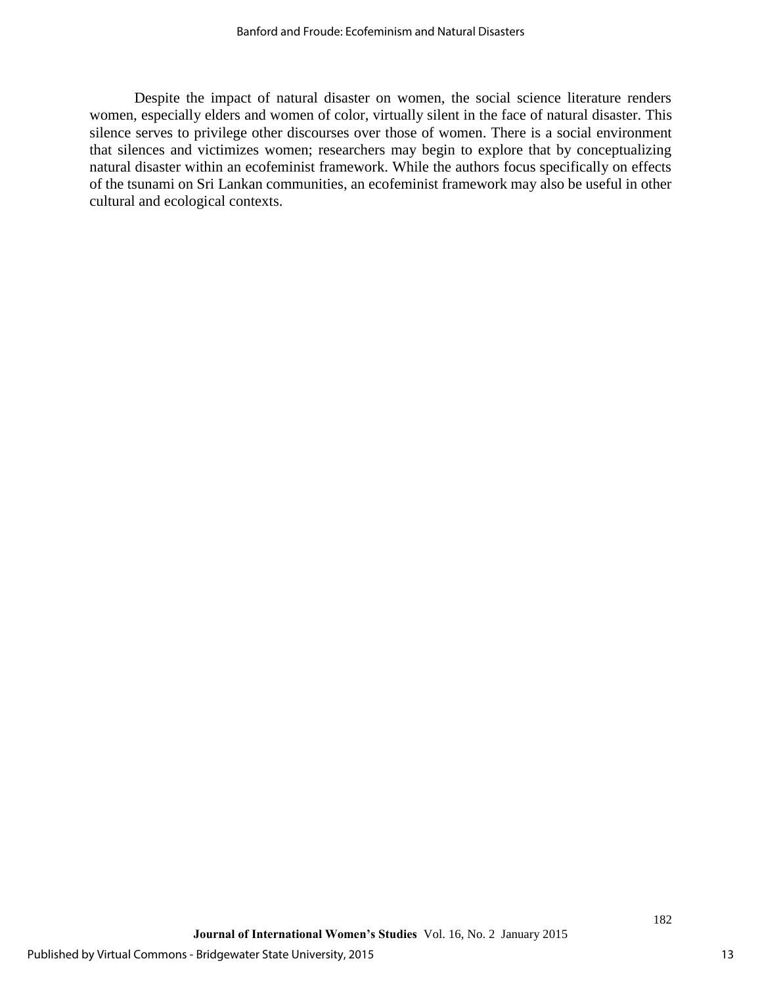Despite the impact of natural disaster on women, the social science literature renders women, especially elders and women of color, virtually silent in the face of natural disaster. This silence serves to privilege other discourses over those of women. There is a social environment that silences and victimizes women; researchers may begin to explore that by conceptualizing natural disaster within an ecofeminist framework. While the authors focus specifically on effects of the tsunami on Sri Lankan communities, an ecofeminist framework may also be useful in other cultural and ecological contexts.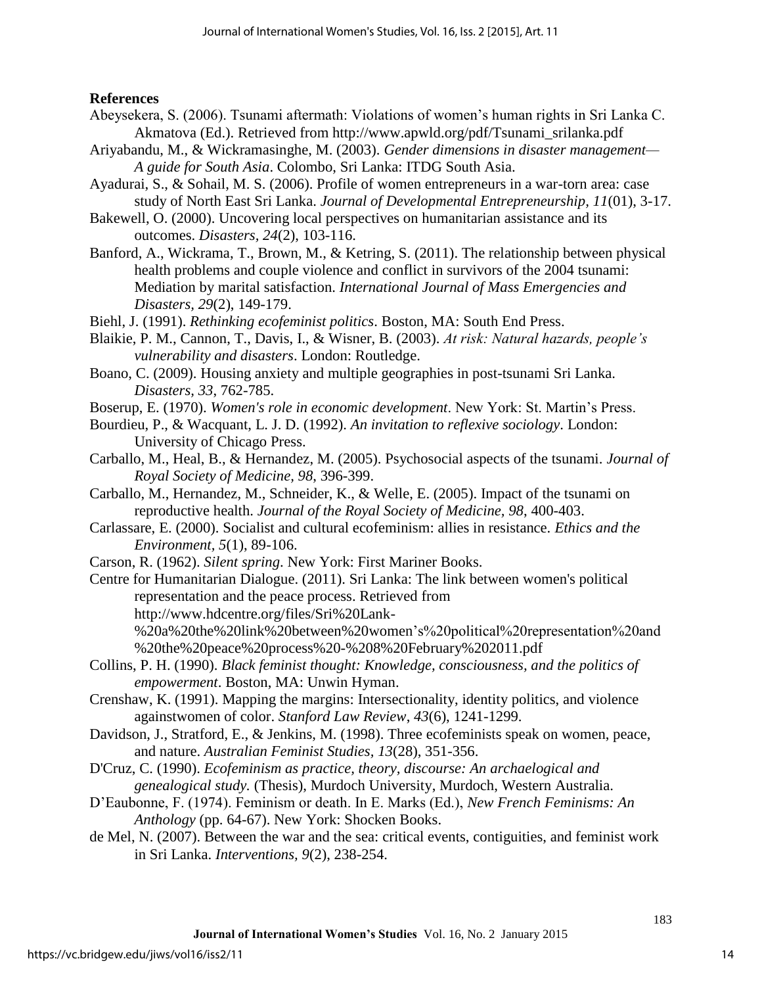**References**

- Abeysekera, S. (2006). Tsunami aftermath: Violations of women's human rights in Sri Lanka C. Akmatova (Ed.). Retrieved from http://www.apwld.org/pdf/Tsunami\_srilanka.pdf
- Ariyabandu, M., & Wickramasinghe, M. (2003). *Gender dimensions in disaster management— A guide for South Asia*. Colombo, Sri Lanka: ITDG South Asia.
- Ayadurai, S., & Sohail, M. S. (2006). Profile of women entrepreneurs in a war-torn area: case study of North East Sri Lanka. *Journal of Developmental Entrepreneurship, 11*(01), 3-17.
- Bakewell, O. (2000). Uncovering local perspectives on humanitarian assistance and its outcomes. *Disasters, 24*(2), 103-116.
- Banford, A., Wickrama, T., Brown, M., & Ketring, S. (2011). The relationship between physical health problems and couple violence and conflict in survivors of the 2004 tsunami: Mediation by marital satisfaction. *International Journal of Mass Emergencies and Disasters, 29*(2), 149-179.
- Biehl, J. (1991). *Rethinking ecofeminist politics*. Boston, MA: South End Press.
- Blaikie, P. M., Cannon, T., Davis, I., & Wisner, B. (2003). *At risk: Natural hazards, people's vulnerability and disasters*. London: Routledge.
- Boano, C. (2009). Housing anxiety and multiple geographies in post-tsunami Sri Lanka. *Disasters, 33*, 762-785.
- Boserup, E. (1970). *Women's role in economic development*. New York: St. Martin's Press.
- Bourdieu, P., & Wacquant, L. J. D. (1992). *An invitation to reflexive sociology*. London: University of Chicago Press.
- Carballo, M., Heal, B., & Hernandez, M. (2005). Psychosocial aspects of the tsunami. *Journal of Royal Society of Medicine, 98*, 396-399.
- Carballo, M., Hernandez, M., Schneider, K., & Welle, E. (2005). Impact of the tsunami on reproductive health. *Journal of the Royal Society of Medicine, 98*, 400-403.
- Carlassare, E. (2000). Socialist and cultural ecofeminism: allies in resistance. *Ethics and the Environment, 5*(1), 89-106.
- Carson, R. (1962). *Silent spring*. New York: First Mariner Books.
- Centre for Humanitarian Dialogue. (2011). Sri Lanka: The link between women's political representation and the peace process. Retrieved from http://www.hdcentre.org/files/Sri%20Lank- %20a%20the%20link%20between%20women's%20political%20representation%20and %20the%20peace%20process%20-%208%20February%202011.pdf
- Collins, P. H. (1990). *Black feminist thought: Knowledge, consciousness, and the politics of empowerment*. Boston, MA: Unwin Hyman.
- Crenshaw, K. (1991). Mapping the margins: Intersectionality, identity politics, and violence againstwomen of color. *Stanford Law Review*, *43*(6), 1241-1299.
- Davidson, J., Stratford, E., & Jenkins, M. (1998). Three ecofeminists speak on women, peace, and nature. *Australian Feminist Studies, 13*(28), 351-356.
- D'Cruz, C. (1990). *Ecofeminism as practice, theory, discourse: An archaelogical and genealogical study.* (Thesis), Murdoch University, Murdoch, Western Australia.
- D'Eaubonne, F. (1974). Feminism or death. In E. Marks (Ed.), *New French Feminisms: An Anthology* (pp. 64-67). New York: Shocken Books.
- de Mel, N. (2007). Between the war and the sea: critical events, contiguities, and feminist work in Sri Lanka. *Interventions, 9*(2), 238-254.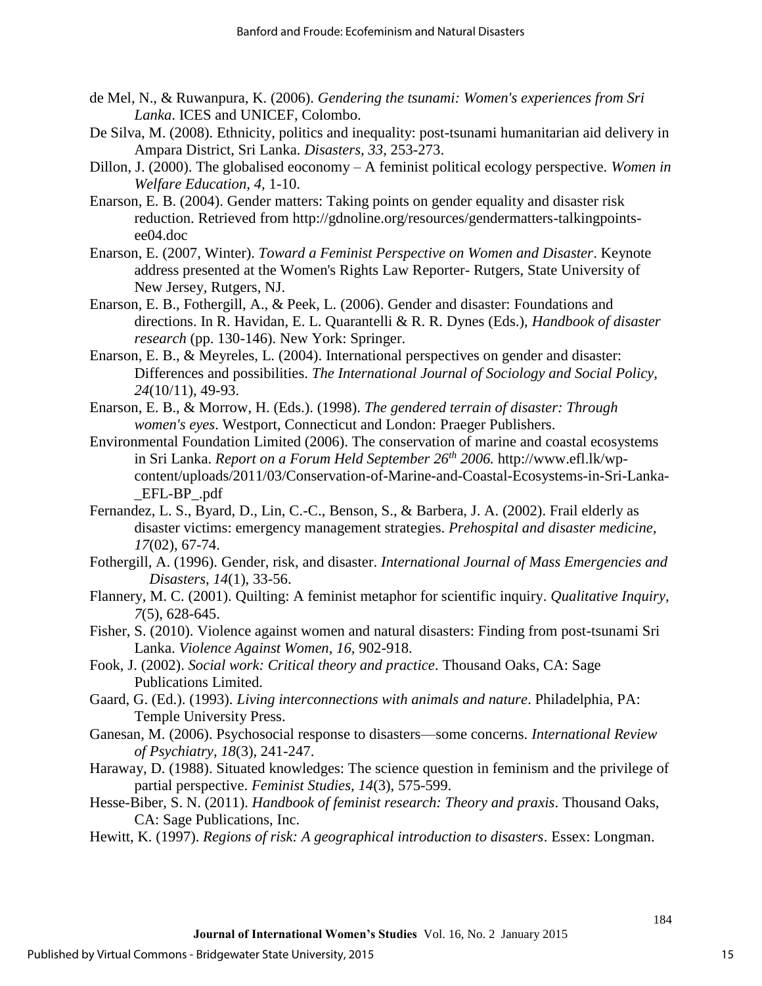- de Mel, N., & Ruwanpura, K. (2006). *Gendering the tsunami: Women's experiences from Sri Lanka*. ICES and UNICEF, Colombo.
- De Silva, M. (2008). Ethnicity, politics and inequality: post-tsunami humanitarian aid delivery in Ampara District, Sri Lanka. *Disasters, 33*, 253-273.
- Dillon, J. (2000). The globalised eoconomy A feminist political ecology perspective. *Women in Welfare Education, 4,* 1-10.
- Enarson, E. B. (2004). Gender matters: Taking points on gender equality and disaster risk reduction. Retrieved from http://gdnoline.org/resources/gendermatters-talkingpointsee04.doc
- Enarson, E. (2007, Winter). *Toward a Feminist Perspective on Women and Disaster*. Keynote address presented at the Women's Rights Law Reporter- Rutgers, State University of New Jersey, Rutgers, NJ.
- Enarson, E. B., Fothergill, A., & Peek, L. (2006). Gender and disaster: Foundations and directions. In R. Havidan, E. L. Quarantelli & R. R. Dynes (Eds.), *Handbook of disaster research* (pp. 130-146). New York: Springer.
- Enarson, E. B., & Meyreles, L. (2004). International perspectives on gender and disaster: Differences and possibilities. *The International Journal of Sociology and Social Policy, 24*(10/11), 49-93.
- Enarson, E. B., & Morrow, H. (Eds.). (1998). *The gendered terrain of disaster: Through women's eyes*. Westport, Connecticut and London: Praeger Publishers.
- Environmental Foundation Limited (2006). The conservation of marine and coastal ecosystems in Sri Lanka. *Report on a Forum Held September 26th 2006.* http://www.efl.lk/wpcontent/uploads/2011/03/Conservation-of-Marine-and-Coastal-Ecosystems-in-Sri-Lanka- \_EFL-BP\_.pdf
- Fernandez, L. S., Byard, D., Lin, C.-C., Benson, S., & Barbera, J. A. (2002). Frail elderly as disaster victims: emergency management strategies. *Prehospital and disaster medicine, 17*(02), 67-74.
- Fothergill, A. (1996). Gender, risk, and disaster. *International Journal of Mass Emergencies and Disasters, 14*(1), 33-56.
- Flannery, M. C. (2001). Quilting: A feminist metaphor for scientific inquiry. *Qualitative Inquiry, 7*(5), 628-645.
- Fisher, S. (2010). Violence against women and natural disasters: Finding from post-tsunami Sri Lanka. *Violence Against Women, 16,* 902-918.
- Fook, J. (2002). *Social work: Critical theory and practice*. Thousand Oaks, CA: Sage Publications Limited.
- Gaard, G. (Ed.). (1993). *Living interconnections with animals and nature*. Philadelphia, PA: Temple University Press.
- Ganesan, M. (2006). Psychosocial response to disasters—some concerns. *International Review of Psychiatry, 18*(3)*,* 241-247.
- Haraway, D. (1988). Situated knowledges: The science question in feminism and the privilege of partial perspective. *Feminist Studies, 14*(3), 575-599.
- Hesse-Biber, S. N. (2011). *Handbook of feminist research: Theory and praxis*. Thousand Oaks, CA: Sage Publications, Inc.
- Hewitt, K. (1997). *Regions of risk: A geographical introduction to disasters*. Essex: Longman.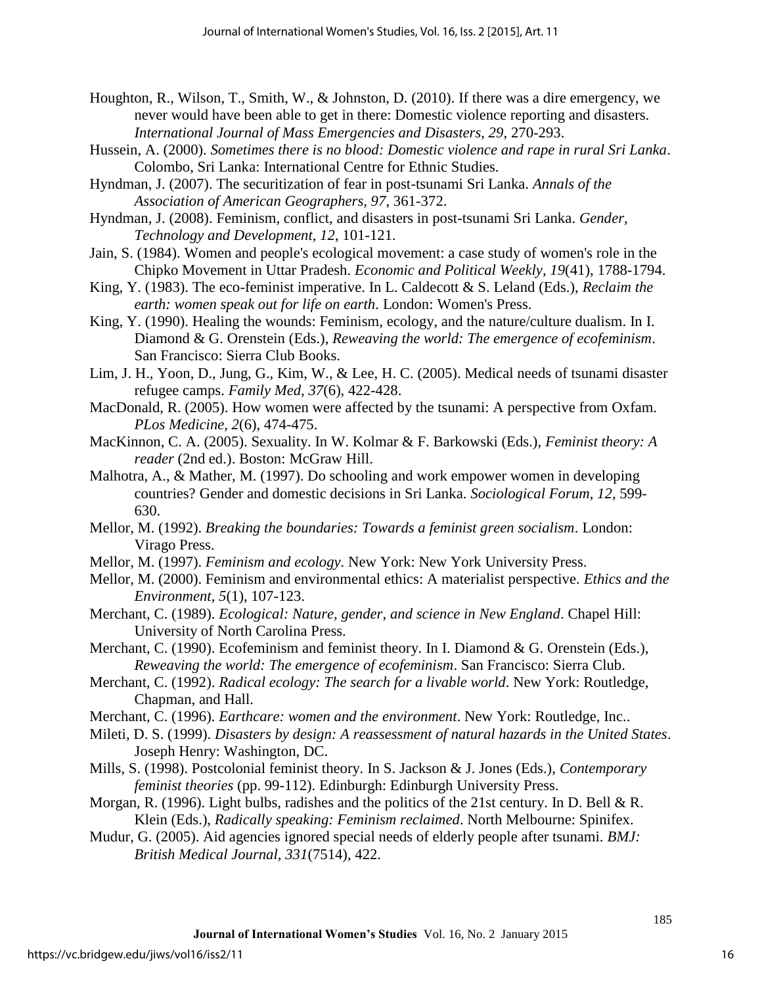- Houghton, R., Wilson, T., Smith, W., & Johnston, D. (2010). If there was a dire emergency, we never would have been able to get in there: Domestic violence reporting and disasters. *International Journal of Mass Emergencies and Disasters, 29*, 270-293.
- Hussein, A. (2000). *Sometimes there is no blood: Domestic violence and rape in rural Sri Lanka*. Colombo, Sri Lanka: International Centre for Ethnic Studies.
- Hyndman, J. (2007). The securitization of fear in post-tsunami Sri Lanka. *Annals of the Association of American Geographers, 97*, 361-372.
- Hyndman, J. (2008). Feminism, conflict, and disasters in post-tsunami Sri Lanka. *Gender, Technology and Development, 12*, 101-121.
- Jain, S. (1984). Women and people's ecological movement: a case study of women's role in the Chipko Movement in Uttar Pradesh. *Economic and Political Weekly*, *19*(41), 1788-1794.
- King, Y. (1983). The eco-feminist imperative. In L. Caldecott & S. Leland (Eds.), *Reclaim the earth: women speak out for life on earth*. London: Women's Press.
- King, Y. (1990). Healing the wounds: Feminism, ecology, and the nature/culture dualism. In I. Diamond & G. Orenstein (Eds.), *Reweaving the world: The emergence of ecofeminism*. San Francisco: Sierra Club Books.
- Lim, J. H., Yoon, D., Jung, G., Kim, W., & Lee, H. C. (2005). Medical needs of tsunami disaster refugee camps. *Family Med, 37*(6), 422-428.
- MacDonald, R. (2005). How women were affected by the tsunami: A perspective from Oxfam. *PLos Medicine, 2*(6), 474-475.
- MacKinnon, C. A. (2005). Sexuality. In W. Kolmar & F. Barkowski (Eds.), *Feminist theory: A reader* (2nd ed.). Boston: McGraw Hill.
- Malhotra, A., & Mather, M. (1997). Do schooling and work empower women in developing countries? Gender and domestic decisions in Sri Lanka. *Sociological Forum, 12*, 599- 630.
- Mellor, M. (1992). *Breaking the boundaries: Towards a feminist green socialism*. London: Virago Press.
- Mellor, M. (1997). *Feminism and ecology*. New York: New York University Press.
- Mellor, M. (2000). Feminism and environmental ethics: A materialist perspective. *Ethics and the Environment, 5*(1), 107-123.
- Merchant, C. (1989). *Ecological: Nature, gender, and science in New England*. Chapel Hill: University of North Carolina Press.
- Merchant, C. (1990). Ecofeminism and feminist theory. In I. Diamond & G. Orenstein (Eds.), *Reweaving the world: The emergence of ecofeminism*. San Francisco: Sierra Club.
- Merchant, C. (1992). *Radical ecology: The search for a livable world*. New York: Routledge, Chapman, and Hall.
- Merchant, C. (1996). *Earthcare: women and the environment*. New York: Routledge, Inc..
- Mileti, D. S. (1999). *Disasters by design: A reassessment of natural hazards in the United States*. Joseph Henry: Washington, DC.
- Mills, S. (1998). Postcolonial feminist theory. In S. Jackson & J. Jones (Eds.), *Contemporary feminist theories* (pp. 99-112). Edinburgh: Edinburgh University Press.
- Morgan, R. (1996). Light bulbs, radishes and the politics of the 21st century. In D. Bell & R. Klein (Eds.), *Radically speaking: Feminism reclaimed*. North Melbourne: Spinifex.
- Mudur, G. (2005). Aid agencies ignored special needs of elderly people after tsunami. *BMJ: British Medical Journal, 331*(7514), 422.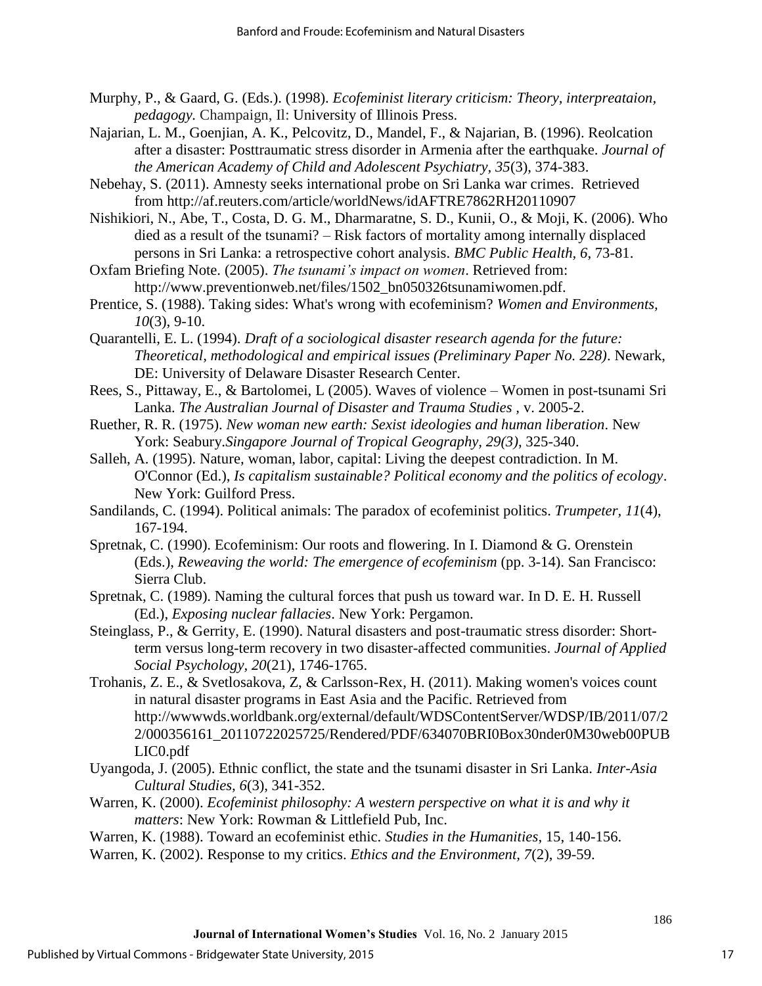- Murphy, P., & Gaard, G. (Eds.). (1998). *Ecofeminist literary criticism: Theory, interpreataion, pedagogy.* Champaign, Il: University of Illinois Press.
- Najarian, L. M., Goenjian, A. K., Pelcovitz, D., Mandel, F., & Najarian, B. (1996). Reolcation after a disaster: Posttraumatic stress disorder in Armenia after the earthquake. *Journal of the American Academy of Child and Adolescent Psychiatry, 35*(3), 374-383.
- Nebehay, S. (2011). Amnesty seeks international probe on Sri Lanka war crimes. Retrieved from http://af.reuters.com/article/worldNews/idAFTRE7862RH20110907
- Nishikiori, N., Abe, T., Costa, D. G. M., Dharmaratne, S. D., Kunii, O., & Moji, K. (2006). Who died as a result of the tsunami? – Risk factors of mortality among internally displaced persons in Sri Lanka: a retrospective cohort analysis. *BMC Public Health, 6*, 73-81.
- Oxfam Briefing Note. (2005). *The tsunami's impact on women*. Retrieved from: http://www.preventionweb.net/files/1502\_bn050326tsunamiwomen.pdf.
- Prentice, S. (1988). Taking sides: What's wrong with ecofeminism? *Women and Environments, 10*(3), 9-10.
- Quarantelli, E. L. (1994). *Draft of a sociological disaster research agenda for the future: Theoretical, methodological and empirical issues (Preliminary Paper No. 228)*. Newark, DE: University of Delaware Disaster Research Center.
- Rees, S., Pittaway, E., & Bartolomei, L (2005). Waves of violence Women in post-tsunami Sri Lanka. *The Australian Journal of Disaster and Trauma Studies ,* v. 2005-2.
- Ruether, R. R. (1975). *New woman new earth: Sexist ideologies and human liberation*. New York: Seabury.*Singapore Journal of Tropical Geography, 29(3)*, 325-340.
- Salleh, A. (1995). Nature, woman, labor, capital: Living the deepest contradiction. In M. O'Connor (Ed.), *Is capitalism sustainable? Political economy and the politics of ecology*. New York: Guilford Press.
- Sandilands, C. (1994). Political animals: The paradox of ecofeminist politics. *Trumpeter, 11*(4), 167-194.
- Spretnak, C. (1990). Ecofeminism: Our roots and flowering. In I. Diamond & G. Orenstein (Eds.), *Reweaving the world: The emergence of ecofeminism* (pp. 3-14). San Francisco: Sierra Club.
- Spretnak, C. (1989). Naming the cultural forces that push us toward war. In D. E. H. Russell (Ed.), *Exposing nuclear fallacies*. New York: Pergamon.
- Steinglass, P., & Gerrity, E. (1990). Natural disasters and post-traumatic stress disorder: Shortterm versus long-term recovery in two disaster-affected communities. *Journal of Applied Social Psychology, 20*(21), 1746-1765.
- Trohanis, Z. E., & Svetlosakova, Z, & Carlsson-Rex, H. (2011). Making women's voices count in natural disaster programs in East Asia and the Pacific. Retrieved from http://wwwwds.worldbank.org/external/default/WDSContentServer/WDSP/IB/2011/07/2 2/000356161\_20110722025725/Rendered/PDF/634070BRI0Box30nder0M30web00PUB LIC0.pdf
- Uyangoda, J. (2005). Ethnic conflict, the state and the tsunami disaster in Sri Lanka. *Inter-Asia Cultural Studies, 6*(3), 341-352.
- Warren, K. (2000). *Ecofeminist philosophy: A western perspective on what it is and why it matters*: New York: Rowman & Littlefield Pub, Inc.
- Warren, K. (1988). Toward an ecofeminist ethic. *Studies in the Humanities*, 15, 140-156.
- Warren, K. (2002). Response to my critics. *Ethics and the Environment, 7*(2), 39-59.